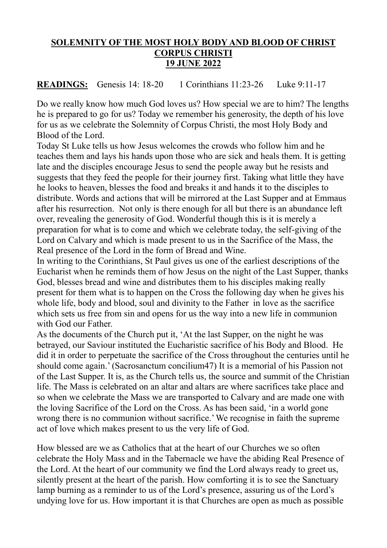## **SOLEMNITY OF THE MOST HOLY BODY AND BLOOD OF CHRIST CORPUS CHRISTI 19 JUNE 2022**

**READINGS:** Genesis 14: 18-20 1 Corinthians 11:23-26 Luke 9:11-17

Do we really know how much God loves us? How special we are to him? The lengths he is prepared to go for us? Today we remember his generosity, the depth of his love for us as we celebrate the Solemnity of Corpus Christi, the most Holy Body and Blood of the Lord.

Today St Luke tells us how Jesus welcomes the crowds who follow him and he teaches them and lays his hands upon those who are sick and heals them. It is getting late and the disciples encourage Jesus to send the people away but he resists and suggests that they feed the people for their journey first. Taking what little they have he looks to heaven, blesses the food and breaks it and hands it to the disciples to distribute. Words and actions that will be mirrored at the Last Supper and at Emmaus after his resurrection. Not only is there enough for all but there is an abundance left over, revealing the generosity of God. Wonderful though this is it is merely a preparation for what is to come and which we celebrate today, the self-giving of the Lord on Calvary and which is made present to us in the Sacrifice of the Mass, the Real presence of the Lord in the form of Bread and Wine.

In writing to the Corinthians, St Paul gives us one of the earliest descriptions of the Eucharist when he reminds them of how Jesus on the night of the Last Supper, thanks God, blesses bread and wine and distributes them to his disciples making really present for them what is to happen on the Cross the following day when he gives his whole life, body and blood, soul and divinity to the Father in love as the sacrifice which sets us free from sin and opens for us the way into a new life in communion with God our Father.

As the documents of the Church put it, 'At the last Supper, on the night he was betrayed, our Saviour instituted the Eucharistic sacrifice of his Body and Blood. He did it in order to perpetuate the sacrifice of the Cross throughout the centuries until he should come again.' (Sacrosanctum concilium47) It is a memorial of his Passion not of the Last Supper. It is, as the Church tells us, the source and summit of the Christian life. The Mass is celebrated on an altar and altars are where sacrifices take place and so when we celebrate the Mass we are transported to Calvary and are made one with the loving Sacrifice of the Lord on the Cross. As has been said, 'in a world gone wrong there is no communion without sacrifice.' We recognise in faith the supreme act of love which makes present to us the very life of God.

How blessed are we as Catholics that at the heart of our Churches we so often celebrate the Holy Mass and in the Tabernacle we have the abiding Real Presence of the Lord. At the heart of our community we find the Lord always ready to greet us, silently present at the heart of the parish. How comforting it is to see the Sanctuary lamp burning as a reminder to us of the Lord's presence, assuring us of the Lord's undying love for us. How important it is that Churches are open as much as possible